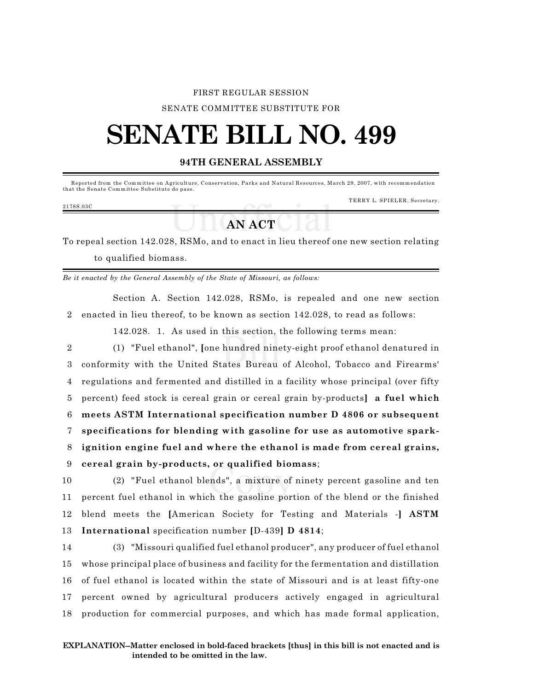### FIRST REGULAR SESSION

SENATE COMMITTEE SUBSTITUTE FOR

# **SENATE BILL NO. 499**

### **94TH GENERAL ASSEMBLY**

 Reported from the Com m ittee on Agriculture, Conservation, Parks and Natural Resources, March 29, 2007, with recomm endation that the Senate Committee Substitute do pass.

#### 2178S.03C

TERRY L. SPIELER, Secretary.

## **AN ACT**

To repeal section 142.028, RSMo, and to enact in lieu thereof one new section relating to qualified biomass.

*Be it enacted by the General Assembly of the State of Missouri, as follows:*

Section A. Section 142.028, RSMo, is repealed and one new section 2 enacted in lieu thereof, to be known as section 142.028, to read as follows:

142.028. 1. As used in this section, the following terms mean:

 (1) "Fuel ethanol", **[**one hundred ninety-eight proof ethanol denatured in conformity with the United States Bureau of Alcohol, Tobacco and Firearms' regulations and fermented and distilled in a facility whose principal (over fifty percent) feed stock is cereal grain or cereal grain by-products**] a fuel which meets ASTM International specification number D 4806 or subsequent specifications for blending with gasoline for use as automotive spark- ignition engine fuel and where the ethanol is made from cereal grains, cereal grain by-products, or qualified biomass**;

 (2) "Fuel ethanol blends", a mixture of ninety percent gasoline and ten percent fuel ethanol in which the gasoline portion of the blend or the finished blend meets the **[**American Society for Testing and Materials -**] ASTM International** specification number **[**D-439**] D 4814**;

 (3) "Missouri qualified fuel ethanol producer", any producer of fuel ethanol whose principal place of business and facility for the fermentation and distillation of fuel ethanol is located within the state of Missouri and is at least fifty-one percent owned by agricultural producers actively engaged in agricultural production for commercial purposes, and which has made formal application,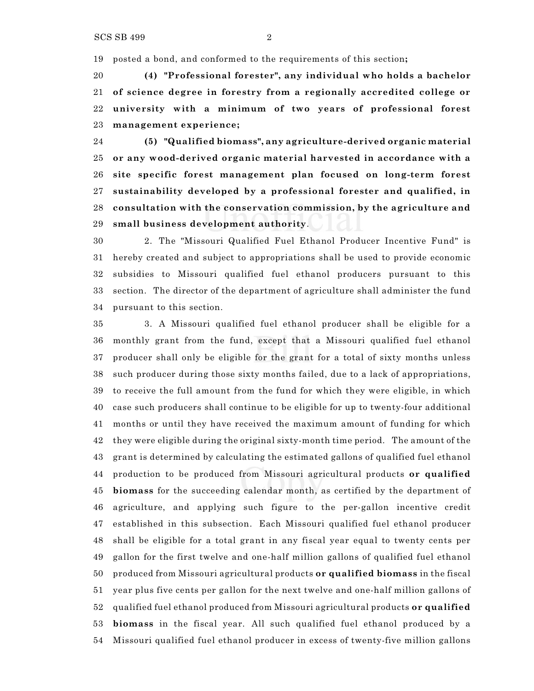posted a bond, and conformed to the requirements of this section**;**

 **(4) "Professional forester", any individual who holds a bachelor of science degree in forestry from a regionally accredited college or university with a minimum of two years of professional forest management experience;**

 **(5) "Qualified biomass", any agriculture-derived organic material or any wood-derived organic material harvested in accordance with a site specific forest management plan focused on long-term forest sustainability developed by a professional forester and qualified, in consultation with the conservation commission, by the agriculture and small business development authority**.

 2. The "Missouri Qualified Fuel Ethanol Producer Incentive Fund" is hereby created and subject to appropriations shall be used to provide economic subsidies to Missouri qualified fuel ethanol producers pursuant to this section. The director of the department of agriculture shall administer the fund pursuant to this section.

 3. A Missouri qualified fuel ethanol producer shall be eligible for a monthly grant from the fund, except that a Missouri qualified fuel ethanol producer shall only be eligible for the grant for a total of sixty months unless such producer during those sixty months failed, due to a lack of appropriations, to receive the full amount from the fund for which they were eligible, in which case such producers shall continue to be eligible for up to twenty-four additional months or until they have received the maximum amount of funding for which they were eligible during the original sixty-month time period. The amount of the grant is determined by calculating the estimated gallons of qualified fuel ethanol production to be produced from Missouri agricultural products **or qualified biomass** for the succeeding calendar month, as certified by the department of agriculture, and applying such figure to the per-gallon incentive credit established in this subsection. Each Missouri qualified fuel ethanol producer shall be eligible for a total grant in any fiscal year equal to twenty cents per gallon for the first twelve and one-half million gallons of qualified fuel ethanol produced from Missouri agricultural products **or qualified biomass** in the fiscal year plus five cents per gallon for the next twelve and one-half million gallons of qualified fuel ethanol produced from Missouri agricultural products **or qualified biomass** in the fiscal year. All such qualified fuel ethanol produced by a Missouri qualified fuel ethanol producer in excess of twenty-five million gallons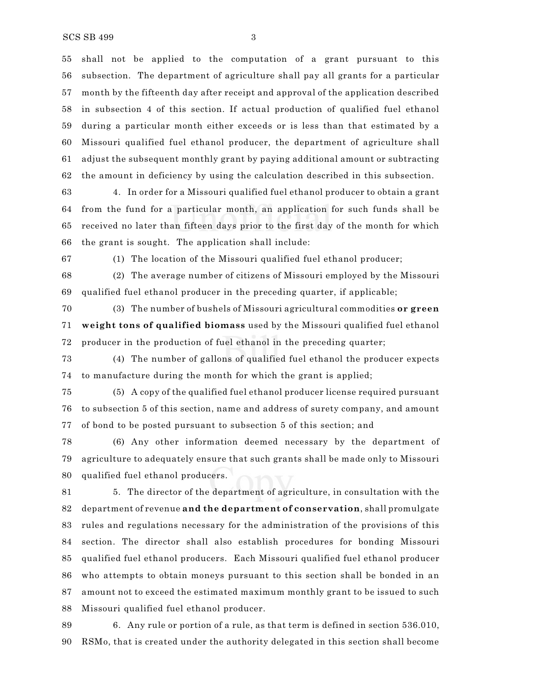shall not be applied to the computation of a grant pursuant to this subsection. The department of agriculture shall pay all grants for a particular month by the fifteenth day after receipt and approval of the application described in subsection 4 of this section. If actual production of qualified fuel ethanol during a particular month either exceeds or is less than that estimated by a Missouri qualified fuel ethanol producer, the department of agriculture shall adjust the subsequent monthly grant by paying additional amount or subtracting the amount in deficiency by using the calculation described in this subsection.

 4. In order for a Missouri qualified fuel ethanol producer to obtain a grant from the fund for a particular month, an application for such funds shall be received no later than fifteen days prior to the first day of the month for which the grant is sought. The application shall include:

(1) The location of the Missouri qualified fuel ethanol producer;

 (2) The average number of citizens of Missouri employed by the Missouri qualified fuel ethanol producer in the preceding quarter, if applicable;

 (3) The number of bushels of Missouri agricultural commodities **or green weight tons of qualified biomass** used by the Missouri qualified fuel ethanol producer in the production of fuel ethanol in the preceding quarter;

 (4) The number of gallons of qualified fuel ethanol the producer expects to manufacture during the month for which the grant is applied;

 (5) A copy of the qualified fuel ethanol producer license required pursuant to subsection 5 of this section, name and address of surety company, and amount of bond to be posted pursuant to subsection 5 of this section; and

 (6) Any other information deemed necessary by the department of agriculture to adequately ensure that such grants shall be made only to Missouri qualified fuel ethanol producers.

 5. The director of the department of agriculture, in consultation with the department of revenue **and the department of conservation**, shall promulgate rules and regulations necessary for the administration of the provisions of this section. The director shall also establish procedures for bonding Missouri qualified fuel ethanol producers. Each Missouri qualified fuel ethanol producer who attempts to obtain moneys pursuant to this section shall be bonded in an amount not to exceed the estimated maximum monthly grant to be issued to such Missouri qualified fuel ethanol producer.

 6. Any rule or portion of a rule, as that term is defined in section 536.010, RSMo, that is created under the authority delegated in this section shall become